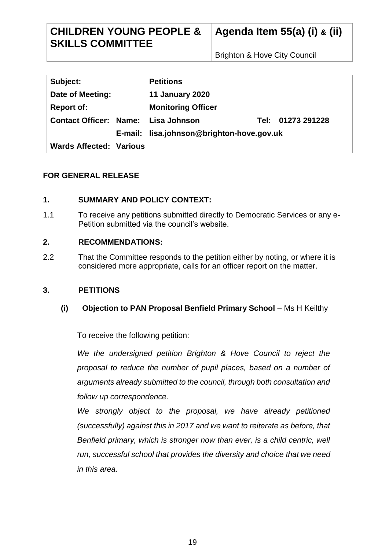# **CHILDREN YOUNG PEOPLE & SKILLS COMMITTEE**

Brighton & Hove City Council

| Subject:                            | <b>Petitions</b>                          |  |                   |
|-------------------------------------|-------------------------------------------|--|-------------------|
| Date of Meeting:                    | <b>11 January 2020</b>                    |  |                   |
| <b>Report of:</b>                   | <b>Monitoring Officer</b>                 |  |                   |
| Contact Officer: Name: Lisa Johnson |                                           |  | Tel: 01273 291228 |
|                                     | E-mail: lisa.johnson@brighton-hove.gov.uk |  |                   |
| <b>Wards Affected: Various</b>      |                                           |  |                   |

# **FOR GENERAL RELEASE**

# **1. SUMMARY AND POLICY CONTEXT:**

1.1 To receive any petitions submitted directly to Democratic Services or any e-Petition submitted via the council's website.

# **2. RECOMMENDATIONS:**

2.2 That the Committee responds to the petition either by noting, or where it is considered more appropriate, calls for an officer report on the matter.

#### **3. PETITIONS**

# **(i) Objection to PAN Proposal Benfield Primary School** – Ms H Keilthy

To receive the following petition:

*We the undersigned petition Brighton & Hove Council to reject the proposal to reduce the number of pupil places, based on a number of arguments already submitted to the council, through both consultation and follow up correspondence.* 

*We strongly object to the proposal, we have already petitioned (successfully) against this in 2017 and we want to reiterate as before, that Benfield primary, which is stronger now than ever, is a child centric, well run, successful school that provides the diversity and choice that we need in this area*.